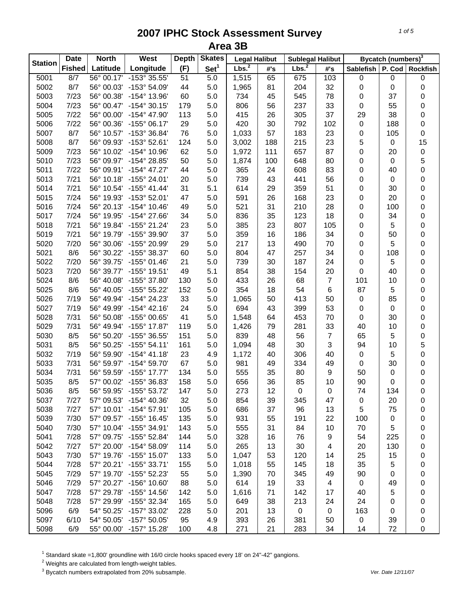| <b>Station</b> | <b>Date</b>   | <b>North</b> | West                    | <b>Depth</b> | <b>Skates</b>    | <b>Legal Halibut</b> |     | <b>Sublegal Halibut</b> |                |                  | Bycatch (numbers) <sup>3</sup> |                 |
|----------------|---------------|--------------|-------------------------|--------------|------------------|----------------------|-----|-------------------------|----------------|------------------|--------------------------------|-----------------|
|                | <b>Fished</b> | Latitude     | Longitude               | (F)          | Set <sup>1</sup> | Lbs. <sup>2</sup>    | #'s | Lbs. <sup>2</sup>       | #'s            | <b>Sablefish</b> | P. Cod                         | <b>Rockfish</b> |
| 5001           | 8/7           | 56° 00.17'   | -153° 35.55'            | 51           | $\overline{5.0}$ | 1,515                | 65  | 675                     | 103            | $\pmb{0}$        | 0                              | 0               |
| 5002           | 8/7           | 56° 00.03'   | -153° 54.09'            | 44           | 5.0              | 1,965                | 81  | 204                     | 32             | 0                | 0                              | 0               |
| 5003           | 7/23          | 56° 00.38'   | -154° 13.96'            | 60           | 5.0              | 734                  | 45  | 545                     | 78             | 0                | 37                             | 0               |
| 5004           | 7/23          | 56° 00.47'   | $-154^{\circ}$ 30.15'   | 179          | 5.0              | 806                  | 56  | 237                     | 33             | $\mathbf 0$      | 55                             | 0               |
| 5005           | 7/22          | 56° 00.00'   | -154° 47.90'            | 113          | 5.0              | 415                  | 26  | 305                     | 37             | 29               | 38                             | 0               |
| 5006           | 7/22          | 56° 00.36'   | $-155^{\circ}$ 06.17'   | 29           | 5.0              | 420                  | 30  | 792                     | 102            | 0                | 188                            | 0               |
| 5007           | 8/7           | 56° 10.57'   | -153° 36.84'            | 76           | 5.0              | 1,033                | 57  | 183                     | 23             | 0                | 105                            | 0               |
| 5008           | 8/7           | 56° 09.93'   | -153° 52.61'            | 124          | 5.0              | 3,002                | 188 | 215                     | 23             | 5                | 0                              | 15              |
| 5009           | 7/23          | 56° 10.02'   | -154° 10.96'            | 62           | 5.0              | 1,972                | 111 | 657                     | 87             | 0                | 20                             | $\pmb{0}$       |
| 5010           | 7/23          | 56° 09.97'   | -154° 28.85'            | 50           | 5.0              | 1,874                | 100 | 648                     | 80             | 0                | 0                              | 5               |
| 5011           | 7/22          | 56° 09.91'   | $-154^{\circ}$ 47.27'   | 44           | 5.0              | 365                  | 24  | 608                     | 83             | 0                | 40                             | 0               |
| 5013           | 7/21          | 56° 10.18'   | $-155^{\circ}$ 24.01'   | 20           | 5.0              | 739                  | 43  | 441                     | 56             | 0                | 0                              | 0               |
| 5014           | 7/21          | 56° 10.54'   | $-155^{\circ}$ 41.44'   | 31           | 5.1              | 614                  | 29  | 359                     | 51             | 0                | 30                             | 0               |
| 5015           | 7/24          | 56° 19.93'   | $-153^{\circ}52.01'$    | 47           | 5.0              | 591                  | 26  | 168                     | 23             | 0                | 20                             | 0               |
| 5016           | 7/24          | 56° 20.13'   | $-154^{\circ}$ 10.46'   | 49           | 5.0              | 521                  | 31  | 210                     | 28             | 0                | 100                            | 0               |
| 5017           | 7/24          | 56° 19.95'   | -154° 27.66'            | 34           | 5.0              | 836                  | 35  | 123                     | 18             | 0                | 34                             | 0               |
| 5018           | 7/21          | 56° 19.84'   | $-155^{\circ}$ 21.24'   | 23           | 5.0              | 385                  | 23  | 807                     | 105            | 0                | 5                              | 0               |
| 5019           | 7/21          | 56° 19.79'   | -155° 39.90'            | 37           | 5.0              | 359                  | 16  | 186                     | 34             | 0                | 50                             | 0               |
| 5020           | 7/20          | 56° 30.06'   | -155° 20.99'            | 29           | 5.0              | 217                  | 13  | 490                     | 70             | 0                | 5                              | 0               |
| 5021           | 8/6           | 56° 30.22'   | -155° 38.37'            | 60           | 5.0              | 804                  | 47  | 257                     | 34             | 0                | 108                            | 0               |
| 5022           | 7/20          | 56° 39.75'   | $-155^{\circ}$ 01.46'   | 21           | 5.0              | 739                  | 30  | 187                     | 24             | $\mathbf 0$      | 5                              | 0               |
| 5023           | 7/20          | 56° 39.77'   | -155° 19.51'            | 49           | 5.1              | 854                  | 38  | 154                     | 20             | 0                | 40                             | 0               |
| 5024           | 8/6           | 56° 40.08'   | -155° 37.80'            | 130          | 5.0              | 433                  | 26  | 68                      | $\overline{7}$ | 101              | 10                             | 0               |
| 5025           | 8/6           | 56° 40.05'   | $-155^{\circ}55.22'$    | 152          | 5.0              | 354                  | 18  | 54                      | 6              | 87               | 5                              | 0               |
| 5026           | 7/19          | 56° 49.94'   | $-154^{\circ}$ 24.23'   | 33           | 5.0              | 1,065                | 50  | 413                     | 50             | $\pmb{0}$        | 85                             | 0               |
| 5027           | 7/19          | 56° 49.99'   | $-154^{\circ}$ 42.16'   | 24           | 5.0              | 694                  | 43  | 399                     | 53             | 0                | 0                              | 0               |
| 5028           | 7/31          | 56° 50.08'   | -155° 00.65'            | 41           | 5.0              | 1,548                | 64  | 453                     | 70             | 0                | 30                             | 0               |
| 5029           | 7/31          | 56° 49.94'   | $-155^{\circ}$ 17.87'   | 119          | 5.0              | 1,426                | 79  | 281                     | 33             | 40               | 10                             | 0               |
| 5030           | 8/5           | 56° 50.20'   | -155° 36.55'            | 151          | 5.0              | 839                  | 48  | 56                      | $\overline{7}$ | 65               | 5                              | $\bf{0}$        |
| 5031           | 8/5           | 56° 50.25'   | $-155^{\circ} 54.11'$   | 161          | 5.0              | 1,094                | 48  | 30                      | 3              | 94               | 10                             | 5               |
| 5032           | 7/19          | 56° 59.90'   | $-154^{\circ}$ 41.18'   | 23           | 4.9              | 1,172                | 40  | 306                     | 40             | 0                | 5                              | 0               |
| 5033           | 7/31          | 56° 59.97'   | $-154^{\circ} 59.70'$   | 67           | 5.0              | 981                  | 49  | 334                     | 49             | 0                | 30                             | 0               |
| 5034           | 7/31          | 56° 59.59'   | $-155^{\circ}$ 17.77'   | 134          | 5.0              | 555                  | 35  | 80                      | 9              | 50               | 0                              | 0               |
| 5035           | 8/5           |              | 57° 00.02' -155° 36.83' | 158          | 5.0              | 656                  | 36  | 85                      | 10             | 90               | 0                              | 0               |
| 5036           | 8/5           | 56° 59.95'   | -155° 53.72'            | 147          | 5.0              | 273                  | 12  | 0                       | 0              | 74               | 134                            | 0               |
| 5037           | 7/27          |              | 57° 09.53' -154° 40.36' | 32           | 5.0              | 854                  | 39  | 345                     | 47             | 0                | 20                             | 0               |
| 5038           | 7/27          |              | 57° 10.01' -154° 57.91' | 105          | 5.0              | 686                  | 37  | 96                      | 13             | 5                | 75                             | 0               |
| 5039           | 7/30          |              | 57° 09.57' -155° 16.45' | 135          | 5.0              | 931                  | 55  | 191                     | 22             | 100              | 0                              | 0               |
| 5040           | 7/30          |              | 57° 10.04' -155° 34.91' | 143          | 5.0              | 555                  | 31  | 84                      | 10             | 70               | 5                              | 0               |
| 5041           | 7/28          |              | 57° 09.75' -155° 52.84' | 144          | 5.0              | 328                  | 16  | 76                      | 9              | 54               | 225                            | 0               |
| 5042           | 7/27          |              | 57° 20.00' -154° 58.09' | 114          | 5.0              | 265                  | 13  | 30                      | 4              | 20               | 130                            | 0               |
| 5043           | 7/30          |              | 57° 19.76' -155° 15.07' | 133          | 5.0              | 1,047                | 53  | 120                     | 14             | 25               | 15                             |                 |
| 5044           | 7/28          |              | 57° 20.21' -155° 33.71' | 155          | 5.0              | 1,018                | 55  | 145                     | 18             | 35               | 5                              | 0               |
|                | 7/29          |              | 57° 19.70' -155° 52.23' | 55           | 5.0              |                      |     | 345                     | 49             |                  |                                | 0               |
| 5045           |               |              | 57° 20.27' -156° 10.60' |              |                  | 1,390                | 70  |                         |                | 90               | 0                              | 0               |
| 5046           | 7/29          |              |                         | 88           | 5.0              | 614                  | 19  | 33                      | 4              | 0                | 49                             | 0               |
| 5047           | 7/28          | 57° 29.78'   | -155° 14.56'            | 142          | 5.0              | 1,616                | 71  | 142                     | 17             | 40               | 5                              | 0               |
| 5048           | 7/28          |              | 57° 29.99' -155° 32.34' | 165          | 5.0              | 649                  | 38  | 213                     | 24             | 24               | 0                              | 0               |
| 5096           | 6/9           | 54° 50.25'   | $-157^{\circ}$ 33.02'   | 228          | 5.0              | 201                  | 13  | $\pmb{0}$               | 0              | 163              | 0                              | 0               |
| 5097           | 6/10          |              | 54° 50.05' -157° 50.05' | 95           | 4.9              | 393                  | 26  | 381                     | 50             | 0                | 39                             | 0               |
| 5098           | 6/9           |              | 55° 00.00' -157° 15.28' | 100          | 4.8              | 271                  | 21  | 283                     | 34             | 14               | 72                             | 0               |

<sup>1</sup> Standard skate =1,800' groundline with 16/0 circle hooks spaced every 18' on 24"-42" gangions.<br><sup>2</sup> Weights are calculated from length-weight tables.<br><sup>3</sup> Bycatch numbers extrapolated from 20% subsample.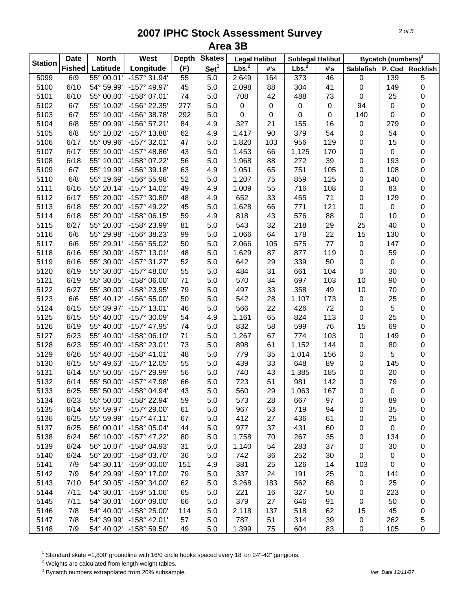| <b>Station</b> | <b>Date</b>   | <b>North</b> | West                    | <b>Depth</b> | <b>Skates</b>    | <b>Legal Halibut</b> |     | <b>Sublegal Halibut</b> |           |                  | Bycatch (numbers) <sup>3</sup> |                 |
|----------------|---------------|--------------|-------------------------|--------------|------------------|----------------------|-----|-------------------------|-----------|------------------|--------------------------------|-----------------|
|                | <b>Fished</b> | Latitude     | Longitude               | (F)          | Set <sup>1</sup> | Lbs. <sup>2</sup>    | #'s | Lbs. <sup>2</sup>       | #'s       | <b>Sablefish</b> | P. Cod                         | <b>Rockfish</b> |
| 5099           | 6/9           | 55° 00.01'   | $-157^\circ 31.94'$     | 55           | 5.0              | 2,649                | 164 | $\overline{373}$        | 46        | 0                | 139                            | 5               |
| 5100           | 6/10          | 54° 59.99'   | -157° 49.97'            | 45           | 5.0              | 2,098                | 88  | 304                     | 41        | 0                | 149                            | 0               |
| 5101           | 6/10          | 55° 00.00'   | $-158^{\circ}$ 07.01'   | 74           | 5.0              | 708                  | 42  | 488                     | 73        | 0                | 25                             | 0               |
| 5102           | 6/7           | 55° 10.02'   | -156° 22.35'            | 277          | 5.0              | $\pmb{0}$            | 0   | $\pmb{0}$               | $\pmb{0}$ | 94               | 0                              | 0               |
| 5103           | 6/7           | 55° 10.00'   | -156° 38.78'            | 292          | 5.0              | $\mathbf 0$          | 0   | 0                       | $\pmb{0}$ | 140              | 0                              | 0               |
| 5104           | 6/8           | 55° 09.99'   | -156° 57.21'            | 84           | 4.9              | 327                  | 21  | 155                     | 16        | 0                | 279                            | 0               |
| 5105           | 6/8           | 55° 10.02'   | -157° 13.88'            | 62           | 4.9              | 1,417                | 90  | 379                     | 54        | 0                | 54                             | 0               |
| 5106           | 6/17          | 55° 09.96'   | $-157^{\circ}$ 32.01'   | 47           | 5.0              | 1,820                | 103 | 956                     | 129       | 0                | 15                             | 0               |
| 5107           | 6/17          | 55° 10.00'   | $-157^{\circ}$ 48.86'   | 43           | 5.0              | 1,453                | 66  | 1,125                   | 170       | 0                | 0                              | 0               |
| 5108           | 6/18          | 55° 10.00'   | -158° 07.22'            | 56           | 5.0              | 1,968                | 88  | 272                     | 39        | 0                | 193                            | 0               |
| 5109           | 6/7           | 55° 19.99'   | -156° 39.18'            | 63           | 4.9              | 1,051                | 65  | 751                     | 105       | 0                | 108                            | 0               |
| 5110           | 6/8           | 55° 19.69'   | -156° 55.98'            | 52           | 5.0              | 1,207                | 75  | 859                     | 125       | 0                | 140                            | 0               |
| 5111           | 6/16          | 55° 20.14'   | $-157^{\circ}$ 14.02'   | 49           | 4.9              | 1,009                | 55  | 716                     | 108       | 0                | 83                             | 0               |
| 5112           | 6/17          | 55° 20.00'   | -157° 30.80'            | 48           | 4.9              | 652                  | 33  | 455                     | 71        | 0                | 129                            | 0               |
| 5113           | 6/18          | 55° 20.00'   | $-157^{\circ}$ 49.22'   | 45           | 5.0              | 1,628                | 66  | 771                     | 121       | 0                | 0                              | 0               |
| 5114           | 6/18          | 55° 20.00'   | -158° 06.15'            | 59           | 4.9              | 818                  | 43  | 576                     | 88        | 0                | 10                             | 0               |
| 5115           | 6/27          | 55° 20.00'   | -158° 23.99'            | 81           | 5.0              | 543                  | 32  | 218                     | 29        | 25               | 40                             | 0               |
| 5116           | 6/6           | 55° 29.98'   | -156° 38.23'            | 99           | 5.0              | 1,066                | 64  | 178                     | 22        | 15               | 130                            | 0               |
| 5117           | 6/6           | 55° 29.91'   | $-156^{\circ} 55.02'$   | 50           | 5.0              | 2,066                | 105 | 575                     | 77        | 0                | 147                            | 0               |
| 5118           | 6/16          | 55° 30.09'   | $-157^{\circ}$ 13.01'   | 48           | 5.0              | 1,629                | 87  | 877                     | 119       | 0                | 59                             | 0               |
| 5119           | 6/16          | 55° 30.00'   | $-157^{\circ}$ 31.27'   | 52           | 5.0              | 642                  | 29  | 339                     | 50        | 0                | 0                              | 0               |
| 5120           | 6/19          | 55° 30.00'   | $-157^{\circ}$ 48.00'   | 55           | 5.0              | 484                  | 31  | 661                     | 104       | $\pmb{0}$        | 30                             | 0               |
| 5121           | 6/19          | 55° 30.05'   | $-158^{\circ}$ 06.00'   | 71           | 5.0              | 570                  | 34  | 697                     | 103       | 10               | 90                             | 0               |
| 5122           | 6/27          | 55° 30.00'   | -158° 23.95'            | 79           | 5.0              | 497                  | 33  | 358                     | 49        | 10               | 70                             | 0               |
| 5123           | 6/6           | 55° 40.12'   | $-156^{\circ} 55.00'$   | 50           | 5.0              | 542                  | 28  | 1,107                   | 173       | 0                | 25                             | 0               |
| 5124           | 6/15          | 55° 39.97'   | $-157^{\circ}$ 13.01'   | 46           | 5.0              | 566                  | 22  | 426                     | 72        | 0                | 5                              | 0               |
| 5125           | 6/15          | 55° 40.00'   | -157° 30.09'            | 54           | 4.9              | 1,161                | 65  | 824                     | 113       | 0                | 25                             | 0               |
| 5126           | 6/19          | 55° 40.00'   | -157° 47.95'            | 74           | 5.0              | 832                  | 58  | 599                     | 76        | 15               | 69                             | 0               |
| 5127           | 6/23          | 55° 40.00'   | $-158^{\circ}$ 06.10'   | 71           | 5.0              | 1,267                | 67  | 774                     | 103       | 0                | 149                            | 0               |
| 5128           | 6/23          | 55° 40.00'   | -158° 23.01'            | 73           | 5.0              | 898                  | 61  | 1,152                   | 144       | 0                | 80                             | 0               |
| 5129           | 6/26          | 55° 40.00'   | $-158^{\circ}$ 41.01'   | 48           | 5.0              | 779                  | 35  | 1,014                   | 156       | 0                | 5                              | 0               |
| 5130           | 6/15          | 55° 49.63'   | -157° 12.05'            | 55           | 5.0              | 439                  | 33  | 648                     | 89        | 0                | 145                            | 0               |
| 5131           | 6/14          | 55° 50.05'   | -157° 29.99'            | 56           | 5.0              | 740                  | 43  | 1,385                   | 185       | 0                | 20                             | 0               |
| 5132           | 6/14          |              | 55° 50.00' -157° 47.98' | 66           | 5.0              | 723                  | 51  | 981                     | 142       | 0                | 79                             | 0               |
| 5133           | 6/25          | 55° 50.00'   | -158° 04.94'            | 43           | 5.0              | 560                  | 29  | 1,063                   | 167       | 0                | 0                              | 0               |
| 5134           | 6/23          | 55° 50.00'   | -158° 22.94'            | 59           | 5.0              | 573                  | 28  | 667                     | 97        | 0                | 89                             | 0               |
| 5135           | 6/14          |              | 55° 59.97' -157° 29.00' | 61           | 5.0              | 967                  | 53  | 719                     | 94        | 0                | 35                             |                 |
| 5136           | 6/25          |              | 55° 59.99' -157° 47.11' | 67           | 5.0              | 412                  | 27  | 436                     | 61        |                  | 25                             | 0               |
| 5137           | 6/25          |              | 56° 00.01' -158° 05.04' | 44           | 5.0              | 977                  | 37  | 431                     |           | 0                | 0                              | 0               |
|                |               |              | 56° 10.00' -157° 47.22' |              |                  |                      |     |                         | 60        | 0                |                                | 0               |
| 5138           | 6/24          |              | 56° 10.07' -158° 04.93' | 80           | 5.0              | 1,758                | 70  | 267                     | 35        | 0                | 134                            | 0               |
| 5139           | 6/24          |              |                         | 31           | 5.0              | 1,140                | 54  | 283                     | 37        | 0                | 30                             | 0               |
| 5140           | 6/24          | 56° 20.00'   | $-158^{\circ}$ 03.70'   | 36           | 5.0              | 742                  | 36  | 252                     | 30        | 0                | 0                              | 0               |
| 5141           | 7/9           |              | 54° 30.11' -159° 00.00' | 151          | 4.9              | 381                  | 25  | 126                     | 14        | 103              | 0                              | 0               |
| 5142           | 7/9           | 54° 29.99'   | -159° 17.00'            | 79           | 5.0              | 337                  | 24  | 191                     | 25        | 0                | 141                            | 0               |
| 5143           | 7/10          | 54° 30.05'   | $-159^{\circ}$ 34.00'   | 62           | 5.0              | 3,268                | 183 | 562                     | 68        | 0                | 25                             | 0               |
| 5144           | 7/11          |              | 54° 30.01' -159° 51.06' | 65           | 5.0              | 221                  | 16  | 327                     | 50        | 0                | 223                            | 0               |
| 5145           | 7/11          |              | 54° 30.01' -160° 09.00' | 66           | 5.0              | 379                  | 27  | 646                     | 91        | 0                | 50                             | 0               |
| 5146           | 7/8           | 54° 40.00'   | $-158^{\circ}$ 25.00'   | 114          | 5.0              | 2,118                | 137 | 518                     | 62        | 15               | 45                             | 0               |
| 5147           | 7/8           | 54° 39.99'   | $-158^{\circ}$ 42.01'   | 57           | 5.0              | 787                  | 51  | 314                     | 39        | 0                | 262                            | 5               |
| 5148           | 7/9           |              | 54° 40.02' -158° 59.50' | 49           | 5.0              | 1,399                | 75  | 604                     | 83        | 0                | 105                            | 0               |

 $^1$  Standard skate =1,800' groundline with 16/0 circle hooks spaced every 18' on 24"-42" gangions.<br><sup>2</sup> Weights are calculated from length-weight tables.

3 Bycatch numbers extrapolated from 20% subsample. *Ver. Date 12/11/07*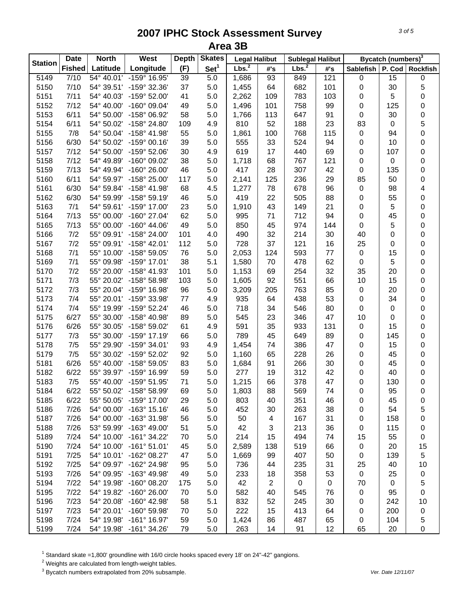| Set <sup>1</sup><br>Lbs. <sup>2</sup><br>Lbs. <sup>2</sup><br>Longitude<br>(F)<br><b>Fished</b><br>Latitude<br>P. Cod<br>#'s<br>#'s<br><b>Sablefish</b><br>5149<br>7/10<br>54° 40.01'<br>$-159^{\circ}$ 16.95'<br>39<br>5.0<br>121<br>15<br>1,686<br>93<br>849<br>$\pmb{0}$<br>0<br>7/10<br>5.0<br>682<br>30<br>5<br>5150<br>54° 39.51'<br>-159° 32.36'<br>37<br>1,455<br>64<br>101<br>0<br>5151<br>7/11<br>41<br>5.0<br>783<br>5<br>0<br>54° 40.03'<br>-159° 52.00'<br>2,262<br>109<br>103<br>0<br>7/12<br>758<br>125<br>0<br>5152<br>54° 40.00'<br>$-160^{\circ}$ 09.04'<br>49<br>5.0<br>1,496<br>101<br>99<br>0<br>0<br>6/11<br>58<br>91<br>$\pmb{0}$<br>30<br>5153<br>54° 50.00'<br>-158° 06.92'<br>5.0<br>1,766<br>113<br>647<br>5<br>6/11<br>810<br>52<br>188<br>23<br>5154<br>54° 50.02'<br>-158° 24.80'<br>109<br>4.9<br>83<br>0<br>0<br>7/8<br>55<br>5.0<br>768<br>115<br>$\pmb{0}$<br>5155<br>54° 50.04'<br>-158° 41.98'<br>1,861<br>100<br>94<br>0<br>5.0<br>524<br>94<br>10<br>5156<br>6/30<br>54° 50.02'<br>$-159^{\circ}$ 00.16'<br>39<br>555<br>33<br>0<br>0<br>7/12<br>4.9<br>619<br>17<br>440<br>69<br>107<br>5157<br>54° 50.00'<br>-159° 52.06'<br>30<br>0<br>0<br>7/12<br>38<br>5.0<br>68<br>767<br>121<br>5158<br>54° 49.89'<br>-160° 09.02'<br>1,718<br>0<br>0<br>0<br>7/13<br>46<br>5.0<br>28<br>307<br>5159<br>54° 49.94'<br>-160° 26.00'<br>417<br>42<br>0<br>135<br>0<br>117<br>85<br>5160<br>6/11<br>54° 59.97'<br>-158° 25.00'<br>5.0<br>125<br>236<br>29<br>50<br>2,141<br>4<br>6/30<br>678<br>5161<br>54° 59.84'<br>$-158^{\circ}$ 41.98'<br>68<br>4.5<br>1,277<br>78<br>96<br>$\pmb{0}$<br>98<br>0<br>6/30<br>46<br>419<br>22<br>505<br>5162<br>54° 59.99'<br>-158° 59.19'<br>5.0<br>88<br>0<br>55<br>5163<br>7/1<br>23<br>5.0<br>43<br>149<br>5<br>0<br>54° 59.61'<br>-159° 17.00'<br>21<br>0<br>1,910<br>7/13<br>62<br>712<br>0<br>5164<br>55° 00.00'<br>-160° 27.04'<br>5.0<br>995<br>71<br>94<br>0<br>45<br>49<br>7/13<br>5.0<br>974<br>0<br>5165<br>55° 00.00'<br>$-160^{\circ}$ 44.06'<br>850<br>45<br>144<br>0<br>5<br>7/2<br>55° 09.91'<br>214<br>40<br>5166<br>$-158^{\circ}$ 24.00'<br>101<br>4.0<br>490<br>32<br>30<br>0<br>0<br>7/2<br>5167<br>55° 09.91' -158° 42.01'<br>112<br>5.0<br>728<br>37<br>121<br>16<br>25<br>0<br>0<br>5168<br>7/1<br>76<br>5.0<br>593<br>$\pmb{0}$<br>15<br>0<br>55° 10.00'<br>-158° 59.05'<br>2,053<br>124<br>$77$<br>7/1<br>38<br>5.1<br>478<br>62<br>$\pmb{0}$<br>5<br>0<br>5169<br>55° 09.98'<br>$-159^{\circ}$ 17.01'<br>1,580<br>70<br>32<br>7/2<br>5.0<br>254<br>35<br>20<br>0<br>5170<br>55° 20.00'<br>-158° 41.93'<br>101<br>1,153<br>69<br>0<br>7/3<br>92<br>551<br>66<br>15<br>5171<br>55° 20.02'<br>$-158^{\circ} 58.98'$<br>103<br>5.0<br>1,605<br>10<br>0<br>7/3<br>55° 20.04'<br>96<br>5.0<br>763<br>85<br>20<br>5172<br>$-159^{\circ}$ 16.98'<br>3,209<br>205<br>$\pmb{0}$<br>0<br>5173<br>7/4<br>438<br>53<br>34<br>55° 20.01'<br>-159° 33.98'<br>$77 \,$<br>4.9<br>935<br>64<br>$\pmb{0}$<br>0<br>7/4<br>5.0<br>546<br>80<br>5174<br>55° 19.99'<br>-159° 52.24'<br>46<br>718<br>34<br>0<br>0<br>0<br>6/27<br>5.0<br>346<br>5175<br>55° 30.00'<br>-158° 40.98'<br>89<br>545<br>23<br>47<br>10<br>0<br>0<br>4.9<br>35<br>933<br>15<br>5176<br>6/26<br>55° 30.05'<br>-158° 59.02'<br>61<br>591<br>131<br>$\pmb{0}$<br>0<br>5177<br>7/3<br>-159° 17.19'<br>66<br>5.0<br>789<br>45<br>649<br>89<br>0<br>145<br>55° 30.00'<br>0<br>7/5<br>4.9<br>5178<br>55° 29.90'<br>-159° 34.01'<br>93<br>1,454<br>386<br>47<br>0<br>15<br>74<br>0<br>7/5<br>92<br>5179<br>55° 30.02'<br>-159° 52.02'<br>5.0<br>1,160<br>65<br>228<br>26<br>0<br>45<br>6/26<br>0<br>5181<br>55° 40.00'<br>-158° 59.05'<br>83<br>5.0<br>266<br>30<br>0<br>45<br>1,684<br>91<br>6/22<br>312<br>0<br>5182<br>-159° 16.99'<br>59<br>5.0<br>277<br>19<br>42<br>0<br>40<br>55° 39.97'<br>0<br>7/5<br>71<br>5.0<br>378<br>47<br>0<br>5183<br>55° 40.00' -159° 51.95'<br>1,215<br>66<br>130<br>5184<br>55° 50.02'<br>-158° 58.99'<br>74<br>6/22<br>5.0<br>1,803<br>88<br>569<br>0<br>95<br>0<br>69<br>5185<br>6/22<br>55° 50.05'<br>-159° 17.00'<br>5.0<br>351<br>29<br>803<br>40<br>46<br>0<br>45<br>0<br>5<br>5186<br>7/26<br>54° 00.00'<br>$-163^{\circ}$ 15.16'<br>263<br>38<br>54<br>46<br>5.0<br>452<br>30<br>0<br>5187<br>7/26<br>54° 00.00'<br>$-163^{\circ}$ 31.98'<br>5.0<br>50<br>167<br>31<br>158<br>0<br>56<br>4<br>0<br>5188<br>7/26<br>53° 59.99'<br>$-163^{\circ}$ 49.00'<br>51<br>5.0<br>42<br>3<br>213<br>36<br>115<br>0<br>0<br>54° 10.00' -161° 34.22' | <b>Station</b> | <b>Date</b> | <b>North</b> | West | <b>Depth</b> | <b>Skates</b> | <b>Legal Halibut</b> |    | <b>Sublegal Halibut</b> |    |    | <b>Bycatch (numbers)</b> <sup>3</sup> |                 |
|-------------------------------------------------------------------------------------------------------------------------------------------------------------------------------------------------------------------------------------------------------------------------------------------------------------------------------------------------------------------------------------------------------------------------------------------------------------------------------------------------------------------------------------------------------------------------------------------------------------------------------------------------------------------------------------------------------------------------------------------------------------------------------------------------------------------------------------------------------------------------------------------------------------------------------------------------------------------------------------------------------------------------------------------------------------------------------------------------------------------------------------------------------------------------------------------------------------------------------------------------------------------------------------------------------------------------------------------------------------------------------------------------------------------------------------------------------------------------------------------------------------------------------------------------------------------------------------------------------------------------------------------------------------------------------------------------------------------------------------------------------------------------------------------------------------------------------------------------------------------------------------------------------------------------------------------------------------------------------------------------------------------------------------------------------------------------------------------------------------------------------------------------------------------------------------------------------------------------------------------------------------------------------------------------------------------------------------------------------------------------------------------------------------------------------------------------------------------------------------------------------------------------------------------------------------------------------------------------------------------------------------------------------------------------------------------------------------------------------------------------------------------------------------------------------------------------------------------------------------------------------------------------------------------------------------------------------------------------------------------------------------------------------------------------------------------------------------------------------------------------------------------------------------------------------------------------------------------------------------------------------------------------------------------------------------------------------------------------------------------------------------------------------------------------------------------------------------------------------------------------------------------------------------------------------------------------------------------------------------------------------------------------------------------------------------------------------------------------------------------------------------------------------------------------------------------------------------------------------------------------------------------------------------------------------------------------------------------------------------------------------------------------------------------------------------------------------------------------------------------------------------------------------------------------------------------------------------------------------------------------------------------------------------------------------------------------------------------------------------------------------------------------------------------------------------------------------------------------------------------------------------------------|----------------|-------------|--------------|------|--------------|---------------|----------------------|----|-------------------------|----|----|---------------------------------------|-----------------|
|                                                                                                                                                                                                                                                                                                                                                                                                                                                                                                                                                                                                                                                                                                                                                                                                                                                                                                                                                                                                                                                                                                                                                                                                                                                                                                                                                                                                                                                                                                                                                                                                                                                                                                                                                                                                                                                                                                                                                                                                                                                                                                                                                                                                                                                                                                                                                                                                                                                                                                                                                                                                                                                                                                                                                                                                                                                                                                                                                                                                                                                                                                                                                                                                                                                                                                                                                                                                                                                                                                                                                                                                                                                                                                                                                                                                                                                                                                                                                                                                                                                                                                                                                                                                                                                                                                                                                                                                                                                                                                                         |                |             |              |      |              |               |                      |    |                         |    |    |                                       | <b>Rockfish</b> |
|                                                                                                                                                                                                                                                                                                                                                                                                                                                                                                                                                                                                                                                                                                                                                                                                                                                                                                                                                                                                                                                                                                                                                                                                                                                                                                                                                                                                                                                                                                                                                                                                                                                                                                                                                                                                                                                                                                                                                                                                                                                                                                                                                                                                                                                                                                                                                                                                                                                                                                                                                                                                                                                                                                                                                                                                                                                                                                                                                                                                                                                                                                                                                                                                                                                                                                                                                                                                                                                                                                                                                                                                                                                                                                                                                                                                                                                                                                                                                                                                                                                                                                                                                                                                                                                                                                                                                                                                                                                                                                                         |                |             |              |      |              |               |                      |    |                         |    |    |                                       |                 |
|                                                                                                                                                                                                                                                                                                                                                                                                                                                                                                                                                                                                                                                                                                                                                                                                                                                                                                                                                                                                                                                                                                                                                                                                                                                                                                                                                                                                                                                                                                                                                                                                                                                                                                                                                                                                                                                                                                                                                                                                                                                                                                                                                                                                                                                                                                                                                                                                                                                                                                                                                                                                                                                                                                                                                                                                                                                                                                                                                                                                                                                                                                                                                                                                                                                                                                                                                                                                                                                                                                                                                                                                                                                                                                                                                                                                                                                                                                                                                                                                                                                                                                                                                                                                                                                                                                                                                                                                                                                                                                                         |                |             |              |      |              |               |                      |    |                         |    |    |                                       |                 |
|                                                                                                                                                                                                                                                                                                                                                                                                                                                                                                                                                                                                                                                                                                                                                                                                                                                                                                                                                                                                                                                                                                                                                                                                                                                                                                                                                                                                                                                                                                                                                                                                                                                                                                                                                                                                                                                                                                                                                                                                                                                                                                                                                                                                                                                                                                                                                                                                                                                                                                                                                                                                                                                                                                                                                                                                                                                                                                                                                                                                                                                                                                                                                                                                                                                                                                                                                                                                                                                                                                                                                                                                                                                                                                                                                                                                                                                                                                                                                                                                                                                                                                                                                                                                                                                                                                                                                                                                                                                                                                                         |                |             |              |      |              |               |                      |    |                         |    |    |                                       |                 |
|                                                                                                                                                                                                                                                                                                                                                                                                                                                                                                                                                                                                                                                                                                                                                                                                                                                                                                                                                                                                                                                                                                                                                                                                                                                                                                                                                                                                                                                                                                                                                                                                                                                                                                                                                                                                                                                                                                                                                                                                                                                                                                                                                                                                                                                                                                                                                                                                                                                                                                                                                                                                                                                                                                                                                                                                                                                                                                                                                                                                                                                                                                                                                                                                                                                                                                                                                                                                                                                                                                                                                                                                                                                                                                                                                                                                                                                                                                                                                                                                                                                                                                                                                                                                                                                                                                                                                                                                                                                                                                                         |                |             |              |      |              |               |                      |    |                         |    |    |                                       |                 |
|                                                                                                                                                                                                                                                                                                                                                                                                                                                                                                                                                                                                                                                                                                                                                                                                                                                                                                                                                                                                                                                                                                                                                                                                                                                                                                                                                                                                                                                                                                                                                                                                                                                                                                                                                                                                                                                                                                                                                                                                                                                                                                                                                                                                                                                                                                                                                                                                                                                                                                                                                                                                                                                                                                                                                                                                                                                                                                                                                                                                                                                                                                                                                                                                                                                                                                                                                                                                                                                                                                                                                                                                                                                                                                                                                                                                                                                                                                                                                                                                                                                                                                                                                                                                                                                                                                                                                                                                                                                                                                                         |                |             |              |      |              |               |                      |    |                         |    |    |                                       |                 |
|                                                                                                                                                                                                                                                                                                                                                                                                                                                                                                                                                                                                                                                                                                                                                                                                                                                                                                                                                                                                                                                                                                                                                                                                                                                                                                                                                                                                                                                                                                                                                                                                                                                                                                                                                                                                                                                                                                                                                                                                                                                                                                                                                                                                                                                                                                                                                                                                                                                                                                                                                                                                                                                                                                                                                                                                                                                                                                                                                                                                                                                                                                                                                                                                                                                                                                                                                                                                                                                                                                                                                                                                                                                                                                                                                                                                                                                                                                                                                                                                                                                                                                                                                                                                                                                                                                                                                                                                                                                                                                                         |                |             |              |      |              |               |                      |    |                         |    |    |                                       |                 |
|                                                                                                                                                                                                                                                                                                                                                                                                                                                                                                                                                                                                                                                                                                                                                                                                                                                                                                                                                                                                                                                                                                                                                                                                                                                                                                                                                                                                                                                                                                                                                                                                                                                                                                                                                                                                                                                                                                                                                                                                                                                                                                                                                                                                                                                                                                                                                                                                                                                                                                                                                                                                                                                                                                                                                                                                                                                                                                                                                                                                                                                                                                                                                                                                                                                                                                                                                                                                                                                                                                                                                                                                                                                                                                                                                                                                                                                                                                                                                                                                                                                                                                                                                                                                                                                                                                                                                                                                                                                                                                                         |                |             |              |      |              |               |                      |    |                         |    |    |                                       |                 |
|                                                                                                                                                                                                                                                                                                                                                                                                                                                                                                                                                                                                                                                                                                                                                                                                                                                                                                                                                                                                                                                                                                                                                                                                                                                                                                                                                                                                                                                                                                                                                                                                                                                                                                                                                                                                                                                                                                                                                                                                                                                                                                                                                                                                                                                                                                                                                                                                                                                                                                                                                                                                                                                                                                                                                                                                                                                                                                                                                                                                                                                                                                                                                                                                                                                                                                                                                                                                                                                                                                                                                                                                                                                                                                                                                                                                                                                                                                                                                                                                                                                                                                                                                                                                                                                                                                                                                                                                                                                                                                                         |                |             |              |      |              |               |                      |    |                         |    |    |                                       |                 |
|                                                                                                                                                                                                                                                                                                                                                                                                                                                                                                                                                                                                                                                                                                                                                                                                                                                                                                                                                                                                                                                                                                                                                                                                                                                                                                                                                                                                                                                                                                                                                                                                                                                                                                                                                                                                                                                                                                                                                                                                                                                                                                                                                                                                                                                                                                                                                                                                                                                                                                                                                                                                                                                                                                                                                                                                                                                                                                                                                                                                                                                                                                                                                                                                                                                                                                                                                                                                                                                                                                                                                                                                                                                                                                                                                                                                                                                                                                                                                                                                                                                                                                                                                                                                                                                                                                                                                                                                                                                                                                                         |                |             |              |      |              |               |                      |    |                         |    |    |                                       |                 |
|                                                                                                                                                                                                                                                                                                                                                                                                                                                                                                                                                                                                                                                                                                                                                                                                                                                                                                                                                                                                                                                                                                                                                                                                                                                                                                                                                                                                                                                                                                                                                                                                                                                                                                                                                                                                                                                                                                                                                                                                                                                                                                                                                                                                                                                                                                                                                                                                                                                                                                                                                                                                                                                                                                                                                                                                                                                                                                                                                                                                                                                                                                                                                                                                                                                                                                                                                                                                                                                                                                                                                                                                                                                                                                                                                                                                                                                                                                                                                                                                                                                                                                                                                                                                                                                                                                                                                                                                                                                                                                                         |                |             |              |      |              |               |                      |    |                         |    |    |                                       |                 |
|                                                                                                                                                                                                                                                                                                                                                                                                                                                                                                                                                                                                                                                                                                                                                                                                                                                                                                                                                                                                                                                                                                                                                                                                                                                                                                                                                                                                                                                                                                                                                                                                                                                                                                                                                                                                                                                                                                                                                                                                                                                                                                                                                                                                                                                                                                                                                                                                                                                                                                                                                                                                                                                                                                                                                                                                                                                                                                                                                                                                                                                                                                                                                                                                                                                                                                                                                                                                                                                                                                                                                                                                                                                                                                                                                                                                                                                                                                                                                                                                                                                                                                                                                                                                                                                                                                                                                                                                                                                                                                                         |                |             |              |      |              |               |                      |    |                         |    |    |                                       |                 |
|                                                                                                                                                                                                                                                                                                                                                                                                                                                                                                                                                                                                                                                                                                                                                                                                                                                                                                                                                                                                                                                                                                                                                                                                                                                                                                                                                                                                                                                                                                                                                                                                                                                                                                                                                                                                                                                                                                                                                                                                                                                                                                                                                                                                                                                                                                                                                                                                                                                                                                                                                                                                                                                                                                                                                                                                                                                                                                                                                                                                                                                                                                                                                                                                                                                                                                                                                                                                                                                                                                                                                                                                                                                                                                                                                                                                                                                                                                                                                                                                                                                                                                                                                                                                                                                                                                                                                                                                                                                                                                                         |                |             |              |      |              |               |                      |    |                         |    |    |                                       |                 |
|                                                                                                                                                                                                                                                                                                                                                                                                                                                                                                                                                                                                                                                                                                                                                                                                                                                                                                                                                                                                                                                                                                                                                                                                                                                                                                                                                                                                                                                                                                                                                                                                                                                                                                                                                                                                                                                                                                                                                                                                                                                                                                                                                                                                                                                                                                                                                                                                                                                                                                                                                                                                                                                                                                                                                                                                                                                                                                                                                                                                                                                                                                                                                                                                                                                                                                                                                                                                                                                                                                                                                                                                                                                                                                                                                                                                                                                                                                                                                                                                                                                                                                                                                                                                                                                                                                                                                                                                                                                                                                                         |                |             |              |      |              |               |                      |    |                         |    |    |                                       |                 |
|                                                                                                                                                                                                                                                                                                                                                                                                                                                                                                                                                                                                                                                                                                                                                                                                                                                                                                                                                                                                                                                                                                                                                                                                                                                                                                                                                                                                                                                                                                                                                                                                                                                                                                                                                                                                                                                                                                                                                                                                                                                                                                                                                                                                                                                                                                                                                                                                                                                                                                                                                                                                                                                                                                                                                                                                                                                                                                                                                                                                                                                                                                                                                                                                                                                                                                                                                                                                                                                                                                                                                                                                                                                                                                                                                                                                                                                                                                                                                                                                                                                                                                                                                                                                                                                                                                                                                                                                                                                                                                                         |                |             |              |      |              |               |                      |    |                         |    |    |                                       |                 |
|                                                                                                                                                                                                                                                                                                                                                                                                                                                                                                                                                                                                                                                                                                                                                                                                                                                                                                                                                                                                                                                                                                                                                                                                                                                                                                                                                                                                                                                                                                                                                                                                                                                                                                                                                                                                                                                                                                                                                                                                                                                                                                                                                                                                                                                                                                                                                                                                                                                                                                                                                                                                                                                                                                                                                                                                                                                                                                                                                                                                                                                                                                                                                                                                                                                                                                                                                                                                                                                                                                                                                                                                                                                                                                                                                                                                                                                                                                                                                                                                                                                                                                                                                                                                                                                                                                                                                                                                                                                                                                                         |                |             |              |      |              |               |                      |    |                         |    |    |                                       |                 |
|                                                                                                                                                                                                                                                                                                                                                                                                                                                                                                                                                                                                                                                                                                                                                                                                                                                                                                                                                                                                                                                                                                                                                                                                                                                                                                                                                                                                                                                                                                                                                                                                                                                                                                                                                                                                                                                                                                                                                                                                                                                                                                                                                                                                                                                                                                                                                                                                                                                                                                                                                                                                                                                                                                                                                                                                                                                                                                                                                                                                                                                                                                                                                                                                                                                                                                                                                                                                                                                                                                                                                                                                                                                                                                                                                                                                                                                                                                                                                                                                                                                                                                                                                                                                                                                                                                                                                                                                                                                                                                                         |                |             |              |      |              |               |                      |    |                         |    |    |                                       |                 |
|                                                                                                                                                                                                                                                                                                                                                                                                                                                                                                                                                                                                                                                                                                                                                                                                                                                                                                                                                                                                                                                                                                                                                                                                                                                                                                                                                                                                                                                                                                                                                                                                                                                                                                                                                                                                                                                                                                                                                                                                                                                                                                                                                                                                                                                                                                                                                                                                                                                                                                                                                                                                                                                                                                                                                                                                                                                                                                                                                                                                                                                                                                                                                                                                                                                                                                                                                                                                                                                                                                                                                                                                                                                                                                                                                                                                                                                                                                                                                                                                                                                                                                                                                                                                                                                                                                                                                                                                                                                                                                                         |                |             |              |      |              |               |                      |    |                         |    |    |                                       |                 |
|                                                                                                                                                                                                                                                                                                                                                                                                                                                                                                                                                                                                                                                                                                                                                                                                                                                                                                                                                                                                                                                                                                                                                                                                                                                                                                                                                                                                                                                                                                                                                                                                                                                                                                                                                                                                                                                                                                                                                                                                                                                                                                                                                                                                                                                                                                                                                                                                                                                                                                                                                                                                                                                                                                                                                                                                                                                                                                                                                                                                                                                                                                                                                                                                                                                                                                                                                                                                                                                                                                                                                                                                                                                                                                                                                                                                                                                                                                                                                                                                                                                                                                                                                                                                                                                                                                                                                                                                                                                                                                                         |                |             |              |      |              |               |                      |    |                         |    |    |                                       |                 |
|                                                                                                                                                                                                                                                                                                                                                                                                                                                                                                                                                                                                                                                                                                                                                                                                                                                                                                                                                                                                                                                                                                                                                                                                                                                                                                                                                                                                                                                                                                                                                                                                                                                                                                                                                                                                                                                                                                                                                                                                                                                                                                                                                                                                                                                                                                                                                                                                                                                                                                                                                                                                                                                                                                                                                                                                                                                                                                                                                                                                                                                                                                                                                                                                                                                                                                                                                                                                                                                                                                                                                                                                                                                                                                                                                                                                                                                                                                                                                                                                                                                                                                                                                                                                                                                                                                                                                                                                                                                                                                                         |                |             |              |      |              |               |                      |    |                         |    |    |                                       |                 |
|                                                                                                                                                                                                                                                                                                                                                                                                                                                                                                                                                                                                                                                                                                                                                                                                                                                                                                                                                                                                                                                                                                                                                                                                                                                                                                                                                                                                                                                                                                                                                                                                                                                                                                                                                                                                                                                                                                                                                                                                                                                                                                                                                                                                                                                                                                                                                                                                                                                                                                                                                                                                                                                                                                                                                                                                                                                                                                                                                                                                                                                                                                                                                                                                                                                                                                                                                                                                                                                                                                                                                                                                                                                                                                                                                                                                                                                                                                                                                                                                                                                                                                                                                                                                                                                                                                                                                                                                                                                                                                                         |                |             |              |      |              |               |                      |    |                         |    |    |                                       |                 |
|                                                                                                                                                                                                                                                                                                                                                                                                                                                                                                                                                                                                                                                                                                                                                                                                                                                                                                                                                                                                                                                                                                                                                                                                                                                                                                                                                                                                                                                                                                                                                                                                                                                                                                                                                                                                                                                                                                                                                                                                                                                                                                                                                                                                                                                                                                                                                                                                                                                                                                                                                                                                                                                                                                                                                                                                                                                                                                                                                                                                                                                                                                                                                                                                                                                                                                                                                                                                                                                                                                                                                                                                                                                                                                                                                                                                                                                                                                                                                                                                                                                                                                                                                                                                                                                                                                                                                                                                                                                                                                                         |                |             |              |      |              |               |                      |    |                         |    |    |                                       |                 |
|                                                                                                                                                                                                                                                                                                                                                                                                                                                                                                                                                                                                                                                                                                                                                                                                                                                                                                                                                                                                                                                                                                                                                                                                                                                                                                                                                                                                                                                                                                                                                                                                                                                                                                                                                                                                                                                                                                                                                                                                                                                                                                                                                                                                                                                                                                                                                                                                                                                                                                                                                                                                                                                                                                                                                                                                                                                                                                                                                                                                                                                                                                                                                                                                                                                                                                                                                                                                                                                                                                                                                                                                                                                                                                                                                                                                                                                                                                                                                                                                                                                                                                                                                                                                                                                                                                                                                                                                                                                                                                                         |                |             |              |      |              |               |                      |    |                         |    |    |                                       |                 |
|                                                                                                                                                                                                                                                                                                                                                                                                                                                                                                                                                                                                                                                                                                                                                                                                                                                                                                                                                                                                                                                                                                                                                                                                                                                                                                                                                                                                                                                                                                                                                                                                                                                                                                                                                                                                                                                                                                                                                                                                                                                                                                                                                                                                                                                                                                                                                                                                                                                                                                                                                                                                                                                                                                                                                                                                                                                                                                                                                                                                                                                                                                                                                                                                                                                                                                                                                                                                                                                                                                                                                                                                                                                                                                                                                                                                                                                                                                                                                                                                                                                                                                                                                                                                                                                                                                                                                                                                                                                                                                                         |                |             |              |      |              |               |                      |    |                         |    |    |                                       |                 |
|                                                                                                                                                                                                                                                                                                                                                                                                                                                                                                                                                                                                                                                                                                                                                                                                                                                                                                                                                                                                                                                                                                                                                                                                                                                                                                                                                                                                                                                                                                                                                                                                                                                                                                                                                                                                                                                                                                                                                                                                                                                                                                                                                                                                                                                                                                                                                                                                                                                                                                                                                                                                                                                                                                                                                                                                                                                                                                                                                                                                                                                                                                                                                                                                                                                                                                                                                                                                                                                                                                                                                                                                                                                                                                                                                                                                                                                                                                                                                                                                                                                                                                                                                                                                                                                                                                                                                                                                                                                                                                                         |                |             |              |      |              |               |                      |    |                         |    |    |                                       |                 |
|                                                                                                                                                                                                                                                                                                                                                                                                                                                                                                                                                                                                                                                                                                                                                                                                                                                                                                                                                                                                                                                                                                                                                                                                                                                                                                                                                                                                                                                                                                                                                                                                                                                                                                                                                                                                                                                                                                                                                                                                                                                                                                                                                                                                                                                                                                                                                                                                                                                                                                                                                                                                                                                                                                                                                                                                                                                                                                                                                                                                                                                                                                                                                                                                                                                                                                                                                                                                                                                                                                                                                                                                                                                                                                                                                                                                                                                                                                                                                                                                                                                                                                                                                                                                                                                                                                                                                                                                                                                                                                                         |                |             |              |      |              |               |                      |    |                         |    |    |                                       |                 |
|                                                                                                                                                                                                                                                                                                                                                                                                                                                                                                                                                                                                                                                                                                                                                                                                                                                                                                                                                                                                                                                                                                                                                                                                                                                                                                                                                                                                                                                                                                                                                                                                                                                                                                                                                                                                                                                                                                                                                                                                                                                                                                                                                                                                                                                                                                                                                                                                                                                                                                                                                                                                                                                                                                                                                                                                                                                                                                                                                                                                                                                                                                                                                                                                                                                                                                                                                                                                                                                                                                                                                                                                                                                                                                                                                                                                                                                                                                                                                                                                                                                                                                                                                                                                                                                                                                                                                                                                                                                                                                                         |                |             |              |      |              |               |                      |    |                         |    |    |                                       |                 |
|                                                                                                                                                                                                                                                                                                                                                                                                                                                                                                                                                                                                                                                                                                                                                                                                                                                                                                                                                                                                                                                                                                                                                                                                                                                                                                                                                                                                                                                                                                                                                                                                                                                                                                                                                                                                                                                                                                                                                                                                                                                                                                                                                                                                                                                                                                                                                                                                                                                                                                                                                                                                                                                                                                                                                                                                                                                                                                                                                                                                                                                                                                                                                                                                                                                                                                                                                                                                                                                                                                                                                                                                                                                                                                                                                                                                                                                                                                                                                                                                                                                                                                                                                                                                                                                                                                                                                                                                                                                                                                                         |                |             |              |      |              |               |                      |    |                         |    |    |                                       |                 |
|                                                                                                                                                                                                                                                                                                                                                                                                                                                                                                                                                                                                                                                                                                                                                                                                                                                                                                                                                                                                                                                                                                                                                                                                                                                                                                                                                                                                                                                                                                                                                                                                                                                                                                                                                                                                                                                                                                                                                                                                                                                                                                                                                                                                                                                                                                                                                                                                                                                                                                                                                                                                                                                                                                                                                                                                                                                                                                                                                                                                                                                                                                                                                                                                                                                                                                                                                                                                                                                                                                                                                                                                                                                                                                                                                                                                                                                                                                                                                                                                                                                                                                                                                                                                                                                                                                                                                                                                                                                                                                                         |                |             |              |      |              |               |                      |    |                         |    |    |                                       |                 |
|                                                                                                                                                                                                                                                                                                                                                                                                                                                                                                                                                                                                                                                                                                                                                                                                                                                                                                                                                                                                                                                                                                                                                                                                                                                                                                                                                                                                                                                                                                                                                                                                                                                                                                                                                                                                                                                                                                                                                                                                                                                                                                                                                                                                                                                                                                                                                                                                                                                                                                                                                                                                                                                                                                                                                                                                                                                                                                                                                                                                                                                                                                                                                                                                                                                                                                                                                                                                                                                                                                                                                                                                                                                                                                                                                                                                                                                                                                                                                                                                                                                                                                                                                                                                                                                                                                                                                                                                                                                                                                                         |                |             |              |      |              |               |                      |    |                         |    |    |                                       |                 |
|                                                                                                                                                                                                                                                                                                                                                                                                                                                                                                                                                                                                                                                                                                                                                                                                                                                                                                                                                                                                                                                                                                                                                                                                                                                                                                                                                                                                                                                                                                                                                                                                                                                                                                                                                                                                                                                                                                                                                                                                                                                                                                                                                                                                                                                                                                                                                                                                                                                                                                                                                                                                                                                                                                                                                                                                                                                                                                                                                                                                                                                                                                                                                                                                                                                                                                                                                                                                                                                                                                                                                                                                                                                                                                                                                                                                                                                                                                                                                                                                                                                                                                                                                                                                                                                                                                                                                                                                                                                                                                                         |                |             |              |      |              |               |                      |    |                         |    |    |                                       |                 |
|                                                                                                                                                                                                                                                                                                                                                                                                                                                                                                                                                                                                                                                                                                                                                                                                                                                                                                                                                                                                                                                                                                                                                                                                                                                                                                                                                                                                                                                                                                                                                                                                                                                                                                                                                                                                                                                                                                                                                                                                                                                                                                                                                                                                                                                                                                                                                                                                                                                                                                                                                                                                                                                                                                                                                                                                                                                                                                                                                                                                                                                                                                                                                                                                                                                                                                                                                                                                                                                                                                                                                                                                                                                                                                                                                                                                                                                                                                                                                                                                                                                                                                                                                                                                                                                                                                                                                                                                                                                                                                                         |                |             |              |      |              |               |                      |    |                         |    |    |                                       |                 |
|                                                                                                                                                                                                                                                                                                                                                                                                                                                                                                                                                                                                                                                                                                                                                                                                                                                                                                                                                                                                                                                                                                                                                                                                                                                                                                                                                                                                                                                                                                                                                                                                                                                                                                                                                                                                                                                                                                                                                                                                                                                                                                                                                                                                                                                                                                                                                                                                                                                                                                                                                                                                                                                                                                                                                                                                                                                                                                                                                                                                                                                                                                                                                                                                                                                                                                                                                                                                                                                                                                                                                                                                                                                                                                                                                                                                                                                                                                                                                                                                                                                                                                                                                                                                                                                                                                                                                                                                                                                                                                                         |                |             |              |      |              |               |                      |    |                         |    |    |                                       |                 |
|                                                                                                                                                                                                                                                                                                                                                                                                                                                                                                                                                                                                                                                                                                                                                                                                                                                                                                                                                                                                                                                                                                                                                                                                                                                                                                                                                                                                                                                                                                                                                                                                                                                                                                                                                                                                                                                                                                                                                                                                                                                                                                                                                                                                                                                                                                                                                                                                                                                                                                                                                                                                                                                                                                                                                                                                                                                                                                                                                                                                                                                                                                                                                                                                                                                                                                                                                                                                                                                                                                                                                                                                                                                                                                                                                                                                                                                                                                                                                                                                                                                                                                                                                                                                                                                                                                                                                                                                                                                                                                                         |                |             |              |      |              |               |                      |    |                         |    |    |                                       |                 |
|                                                                                                                                                                                                                                                                                                                                                                                                                                                                                                                                                                                                                                                                                                                                                                                                                                                                                                                                                                                                                                                                                                                                                                                                                                                                                                                                                                                                                                                                                                                                                                                                                                                                                                                                                                                                                                                                                                                                                                                                                                                                                                                                                                                                                                                                                                                                                                                                                                                                                                                                                                                                                                                                                                                                                                                                                                                                                                                                                                                                                                                                                                                                                                                                                                                                                                                                                                                                                                                                                                                                                                                                                                                                                                                                                                                                                                                                                                                                                                                                                                                                                                                                                                                                                                                                                                                                                                                                                                                                                                                         |                |             |              |      |              |               |                      |    |                         |    |    |                                       |                 |
|                                                                                                                                                                                                                                                                                                                                                                                                                                                                                                                                                                                                                                                                                                                                                                                                                                                                                                                                                                                                                                                                                                                                                                                                                                                                                                                                                                                                                                                                                                                                                                                                                                                                                                                                                                                                                                                                                                                                                                                                                                                                                                                                                                                                                                                                                                                                                                                                                                                                                                                                                                                                                                                                                                                                                                                                                                                                                                                                                                                                                                                                                                                                                                                                                                                                                                                                                                                                                                                                                                                                                                                                                                                                                                                                                                                                                                                                                                                                                                                                                                                                                                                                                                                                                                                                                                                                                                                                                                                                                                                         |                |             |              |      |              |               |                      |    |                         |    |    |                                       |                 |
|                                                                                                                                                                                                                                                                                                                                                                                                                                                                                                                                                                                                                                                                                                                                                                                                                                                                                                                                                                                                                                                                                                                                                                                                                                                                                                                                                                                                                                                                                                                                                                                                                                                                                                                                                                                                                                                                                                                                                                                                                                                                                                                                                                                                                                                                                                                                                                                                                                                                                                                                                                                                                                                                                                                                                                                                                                                                                                                                                                                                                                                                                                                                                                                                                                                                                                                                                                                                                                                                                                                                                                                                                                                                                                                                                                                                                                                                                                                                                                                                                                                                                                                                                                                                                                                                                                                                                                                                                                                                                                                         |                |             |              |      |              |               |                      |    |                         |    |    |                                       |                 |
|                                                                                                                                                                                                                                                                                                                                                                                                                                                                                                                                                                                                                                                                                                                                                                                                                                                                                                                                                                                                                                                                                                                                                                                                                                                                                                                                                                                                                                                                                                                                                                                                                                                                                                                                                                                                                                                                                                                                                                                                                                                                                                                                                                                                                                                                                                                                                                                                                                                                                                                                                                                                                                                                                                                                                                                                                                                                                                                                                                                                                                                                                                                                                                                                                                                                                                                                                                                                                                                                                                                                                                                                                                                                                                                                                                                                                                                                                                                                                                                                                                                                                                                                                                                                                                                                                                                                                                                                                                                                                                                         |                |             |              |      |              |               |                      |    |                         |    |    |                                       |                 |
|                                                                                                                                                                                                                                                                                                                                                                                                                                                                                                                                                                                                                                                                                                                                                                                                                                                                                                                                                                                                                                                                                                                                                                                                                                                                                                                                                                                                                                                                                                                                                                                                                                                                                                                                                                                                                                                                                                                                                                                                                                                                                                                                                                                                                                                                                                                                                                                                                                                                                                                                                                                                                                                                                                                                                                                                                                                                                                                                                                                                                                                                                                                                                                                                                                                                                                                                                                                                                                                                                                                                                                                                                                                                                                                                                                                                                                                                                                                                                                                                                                                                                                                                                                                                                                                                                                                                                                                                                                                                                                                         |                |             |              |      |              |               |                      |    |                         |    |    |                                       |                 |
|                                                                                                                                                                                                                                                                                                                                                                                                                                                                                                                                                                                                                                                                                                                                                                                                                                                                                                                                                                                                                                                                                                                                                                                                                                                                                                                                                                                                                                                                                                                                                                                                                                                                                                                                                                                                                                                                                                                                                                                                                                                                                                                                                                                                                                                                                                                                                                                                                                                                                                                                                                                                                                                                                                                                                                                                                                                                                                                                                                                                                                                                                                                                                                                                                                                                                                                                                                                                                                                                                                                                                                                                                                                                                                                                                                                                                                                                                                                                                                                                                                                                                                                                                                                                                                                                                                                                                                                                                                                                                                                         |                |             |              |      |              |               |                      |    |                         |    |    |                                       |                 |
|                                                                                                                                                                                                                                                                                                                                                                                                                                                                                                                                                                                                                                                                                                                                                                                                                                                                                                                                                                                                                                                                                                                                                                                                                                                                                                                                                                                                                                                                                                                                                                                                                                                                                                                                                                                                                                                                                                                                                                                                                                                                                                                                                                                                                                                                                                                                                                                                                                                                                                                                                                                                                                                                                                                                                                                                                                                                                                                                                                                                                                                                                                                                                                                                                                                                                                                                                                                                                                                                                                                                                                                                                                                                                                                                                                                                                                                                                                                                                                                                                                                                                                                                                                                                                                                                                                                                                                                                                                                                                                                         | 5189           | 7/24        |              |      | 70           | 5.0           | 214                  | 15 | 494                     | 74 | 15 | 55                                    | 0               |
| 5190<br>54° 10.00'<br>$-161^{\circ} 51.01'$<br>5.0<br>2,589<br>519<br>66<br>15<br>7/24<br>45<br>138<br>0<br>20                                                                                                                                                                                                                                                                                                                                                                                                                                                                                                                                                                                                                                                                                                                                                                                                                                                                                                                                                                                                                                                                                                                                                                                                                                                                                                                                                                                                                                                                                                                                                                                                                                                                                                                                                                                                                                                                                                                                                                                                                                                                                                                                                                                                                                                                                                                                                                                                                                                                                                                                                                                                                                                                                                                                                                                                                                                                                                                                                                                                                                                                                                                                                                                                                                                                                                                                                                                                                                                                                                                                                                                                                                                                                                                                                                                                                                                                                                                                                                                                                                                                                                                                                                                                                                                                                                                                                                                                          |                |             |              |      |              |               |                      |    |                         |    |    |                                       |                 |
| 5191<br>7/25<br>54° 10.01' -162° 08.27'<br>5.0<br>407<br>50<br>139<br>5<br>47<br>1,669<br>99<br>0                                                                                                                                                                                                                                                                                                                                                                                                                                                                                                                                                                                                                                                                                                                                                                                                                                                                                                                                                                                                                                                                                                                                                                                                                                                                                                                                                                                                                                                                                                                                                                                                                                                                                                                                                                                                                                                                                                                                                                                                                                                                                                                                                                                                                                                                                                                                                                                                                                                                                                                                                                                                                                                                                                                                                                                                                                                                                                                                                                                                                                                                                                                                                                                                                                                                                                                                                                                                                                                                                                                                                                                                                                                                                                                                                                                                                                                                                                                                                                                                                                                                                                                                                                                                                                                                                                                                                                                                                       |                |             |              |      |              |               |                      |    |                         |    |    |                                       |                 |
| 5192<br>7/25<br>54° 09.97' -162° 24.98'<br>5.0<br>235<br>31<br>10<br>95<br>736<br>44<br>25<br>40                                                                                                                                                                                                                                                                                                                                                                                                                                                                                                                                                                                                                                                                                                                                                                                                                                                                                                                                                                                                                                                                                                                                                                                                                                                                                                                                                                                                                                                                                                                                                                                                                                                                                                                                                                                                                                                                                                                                                                                                                                                                                                                                                                                                                                                                                                                                                                                                                                                                                                                                                                                                                                                                                                                                                                                                                                                                                                                                                                                                                                                                                                                                                                                                                                                                                                                                                                                                                                                                                                                                                                                                                                                                                                                                                                                                                                                                                                                                                                                                                                                                                                                                                                                                                                                                                                                                                                                                                        |                |             |              |      |              |               |                      |    |                         |    |    |                                       |                 |
| 5193<br>7/26<br>$-163^{\circ}$ 49.98'<br>5.0<br>233<br>358<br>25<br>54° 09.95'<br>49<br>53<br>$\mathbf 0$<br>0<br>18                                                                                                                                                                                                                                                                                                                                                                                                                                                                                                                                                                                                                                                                                                                                                                                                                                                                                                                                                                                                                                                                                                                                                                                                                                                                                                                                                                                                                                                                                                                                                                                                                                                                                                                                                                                                                                                                                                                                                                                                                                                                                                                                                                                                                                                                                                                                                                                                                                                                                                                                                                                                                                                                                                                                                                                                                                                                                                                                                                                                                                                                                                                                                                                                                                                                                                                                                                                                                                                                                                                                                                                                                                                                                                                                                                                                                                                                                                                                                                                                                                                                                                                                                                                                                                                                                                                                                                                                    |                |             |              |      |              |               |                      |    |                         |    |    |                                       |                 |
| 5<br>5.0<br>5194<br>7/22<br>54° 19.98'<br>$-160^{\circ}$ 08.20'<br>175<br>42<br>2<br>0<br>0<br>70<br>0                                                                                                                                                                                                                                                                                                                                                                                                                                                                                                                                                                                                                                                                                                                                                                                                                                                                                                                                                                                                                                                                                                                                                                                                                                                                                                                                                                                                                                                                                                                                                                                                                                                                                                                                                                                                                                                                                                                                                                                                                                                                                                                                                                                                                                                                                                                                                                                                                                                                                                                                                                                                                                                                                                                                                                                                                                                                                                                                                                                                                                                                                                                                                                                                                                                                                                                                                                                                                                                                                                                                                                                                                                                                                                                                                                                                                                                                                                                                                                                                                                                                                                                                                                                                                                                                                                                                                                                                                  |                |             |              |      |              |               |                      |    |                         |    |    |                                       |                 |
| 5195<br>$7/22$<br>5.0<br>0<br>54° 19.82' -160° 26.00'<br>70<br>582<br>40<br>545<br>76<br>0<br>95                                                                                                                                                                                                                                                                                                                                                                                                                                                                                                                                                                                                                                                                                                                                                                                                                                                                                                                                                                                                                                                                                                                                                                                                                                                                                                                                                                                                                                                                                                                                                                                                                                                                                                                                                                                                                                                                                                                                                                                                                                                                                                                                                                                                                                                                                                                                                                                                                                                                                                                                                                                                                                                                                                                                                                                                                                                                                                                                                                                                                                                                                                                                                                                                                                                                                                                                                                                                                                                                                                                                                                                                                                                                                                                                                                                                                                                                                                                                                                                                                                                                                                                                                                                                                                                                                                                                                                                                                        |                |             |              |      |              |               |                      |    |                         |    |    |                                       |                 |
| 5196<br>7/23<br>54° 20.08'<br>$-160^{\circ}$ 42.98'<br>5.1<br>58<br>832<br>52<br>245<br>30<br>242<br>10<br>0                                                                                                                                                                                                                                                                                                                                                                                                                                                                                                                                                                                                                                                                                                                                                                                                                                                                                                                                                                                                                                                                                                                                                                                                                                                                                                                                                                                                                                                                                                                                                                                                                                                                                                                                                                                                                                                                                                                                                                                                                                                                                                                                                                                                                                                                                                                                                                                                                                                                                                                                                                                                                                                                                                                                                                                                                                                                                                                                                                                                                                                                                                                                                                                                                                                                                                                                                                                                                                                                                                                                                                                                                                                                                                                                                                                                                                                                                                                                                                                                                                                                                                                                                                                                                                                                                                                                                                                                            |                |             |              |      |              |               |                      |    |                         |    |    |                                       |                 |
| 7/23<br>413<br>200<br>5197<br>54° 20.01' -160° 59.98'<br>70<br>5.0<br>222<br>$\pmb{0}$<br>15<br>64<br>0                                                                                                                                                                                                                                                                                                                                                                                                                                                                                                                                                                                                                                                                                                                                                                                                                                                                                                                                                                                                                                                                                                                                                                                                                                                                                                                                                                                                                                                                                                                                                                                                                                                                                                                                                                                                                                                                                                                                                                                                                                                                                                                                                                                                                                                                                                                                                                                                                                                                                                                                                                                                                                                                                                                                                                                                                                                                                                                                                                                                                                                                                                                                                                                                                                                                                                                                                                                                                                                                                                                                                                                                                                                                                                                                                                                                                                                                                                                                                                                                                                                                                                                                                                                                                                                                                                                                                                                                                 |                |             |              |      |              |               |                      |    |                         |    |    |                                       |                 |
| 5198<br>487<br>5<br>7/24<br>54° 19.98'<br>$-161^\circ$ 16.97'<br>59<br>5.0<br>1,424<br>65<br>0<br>104<br>86                                                                                                                                                                                                                                                                                                                                                                                                                                                                                                                                                                                                                                                                                                                                                                                                                                                                                                                                                                                                                                                                                                                                                                                                                                                                                                                                                                                                                                                                                                                                                                                                                                                                                                                                                                                                                                                                                                                                                                                                                                                                                                                                                                                                                                                                                                                                                                                                                                                                                                                                                                                                                                                                                                                                                                                                                                                                                                                                                                                                                                                                                                                                                                                                                                                                                                                                                                                                                                                                                                                                                                                                                                                                                                                                                                                                                                                                                                                                                                                                                                                                                                                                                                                                                                                                                                                                                                                                             |                |             |              |      |              |               |                      |    |                         |    |    |                                       |                 |
| 5199<br>54° 19.98' -161° 34.26'<br>14<br>91<br>12<br>0<br>7/24<br>79<br>5.0<br>263<br>65<br>20                                                                                                                                                                                                                                                                                                                                                                                                                                                                                                                                                                                                                                                                                                                                                                                                                                                                                                                                                                                                                                                                                                                                                                                                                                                                                                                                                                                                                                                                                                                                                                                                                                                                                                                                                                                                                                                                                                                                                                                                                                                                                                                                                                                                                                                                                                                                                                                                                                                                                                                                                                                                                                                                                                                                                                                                                                                                                                                                                                                                                                                                                                                                                                                                                                                                                                                                                                                                                                                                                                                                                                                                                                                                                                                                                                                                                                                                                                                                                                                                                                                                                                                                                                                                                                                                                                                                                                                                                          |                |             |              |      |              |               |                      |    |                         |    |    |                                       |                 |

<sup>1</sup> Standard skate =1,800' groundline with 16/0 circle hooks spaced every 18' on 24"-42" gangions.<br><sup>2</sup> Weights are calculated from length-weight tables.<br><sup>3</sup> Bycatch numbers extrapolated from 20% subsample.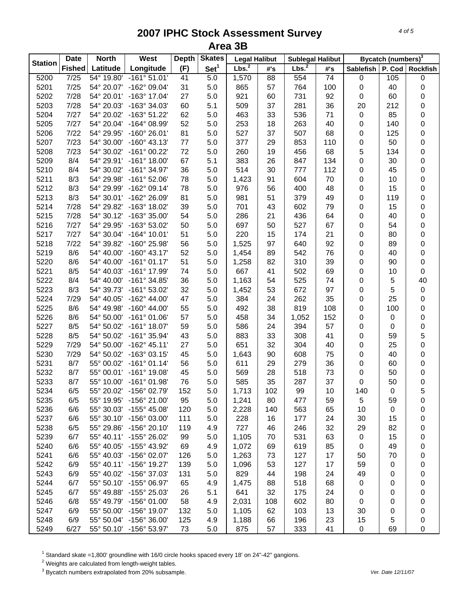| <b>Station</b> | <b>Date</b>   | <b>North</b> | West                    | <b>Depth</b> | <b>Skates</b>    | <b>Legal Halibut</b> |     | <b>Sublegal Halibut</b> |                 |                  | Bycatch (numbers) <sup>3</sup> |                 |
|----------------|---------------|--------------|-------------------------|--------------|------------------|----------------------|-----|-------------------------|-----------------|------------------|--------------------------------|-----------------|
|                | <b>Fished</b> | Latitude     | Longitude               | (F)          | Set <sup>1</sup> | Lbs. <sup>2</sup>    | #'s | Lbs. <sup>2</sup>       | #'s             | <b>Sablefish</b> | P. Cod                         | <b>Rockfish</b> |
| 5200           | 7/25          | 54° 19.80'   | $-161°51.01'$           | 41           | 5.0              | 1,570                | 88  | 554                     | $\overline{74}$ | 0                | 105                            | 0               |
| 5201           | 7/25          | 54° 20.07'   | $-162^{\circ}$ 09.04'   | 31           | 5.0              | 865                  | 57  | 764                     | 100             | 0                | 40                             | 0               |
| 5202           | 7/28          | 54° 20.01'   | $-163^{\circ}$ 17.04'   | 27           | 5.0              | 921                  | 60  | 731                     | 92              | 0                | 60                             | 0               |
| 5203           | 7/28          | 54° 20.03'   | $-163^{\circ}$ 34.03'   | 60           | 5.1              | 509                  | 37  | 281                     | 36              | 20               | 212                            | 0               |
| 5204           | 7/27          | 54° 20.02'   | $-163^{\circ} 51.22'$   | 62           | 5.0              | 463                  | 33  | 536                     | 71              | $\pmb{0}$        | 85                             | 0               |
| 5205           | 7/27          | 54° 20.04'   | $-164^{\circ}$ 08.99'   | 52           | 5.0              | 253                  | 18  | 263                     | 40              | 0                | 140                            | 0               |
| 5206           | 7/22          | 54° 29.95'   | $-160^{\circ}$ 26.01'   | 81           | 5.0              | 527                  | 37  | 507                     | 68              | 0                | 125                            | 0               |
| 5207           | 7/23          | 54° 30.00'   | $-160^{\circ}$ 43.13'   | 77           | 5.0              | 377                  | 29  | 853                     | 110             | 0                | 50                             | 0               |
| 5208           | 7/23          | 54° 30.02'   | $-161^{\circ}$ 00.22'   | 72           | 5.0              | 260                  | 19  | 456                     | 68              | 5                | 134                            | 0               |
| 5209           | 8/4           |              | 54° 29.91' -161° 18.00' | 67           | 5.1              | 383                  | 26  | 847                     | 134             | 0                | 30                             | 0               |
| 5210           | 8/4           | 54° 30.02'   | -161° 34.97'            | 36           | 5.0              | 514                  | 30  | 777                     | 112             | 0                | 45                             | 0               |
| 5211           | 8/3           | 54° 29.98'   | $-161°52.06'$           | 78           | 5.0              | 1,423                | 91  | 604                     | 70              | 0                | 10                             | 0               |
| 5212           | 8/3           | 54° 29.99'   | $-162°09.14'$           | 78           | 5.0              | 976                  | 56  | 400                     | 48              | 0                | 15                             | 0               |
| 5213           | 8/3           |              | 54° 30.01' -162° 26.09' | 81           | 5.0              | 981                  | 51  | 379                     | 49              | 0                | 119                            | 0               |
| 5214           | 7/28          |              | 54° 29.82' -163° 18.02' | 39           | 5.0              | 701                  | 43  | 602                     | 79              | 0                | 15                             | 0               |
| 5215           | 7/28          |              | 54° 30.12' -163° 35.00' | 54           | 5.0              | 286                  | 21  | 436                     | 64              | 0                | 40                             | 0               |
| 5216           | 7/27          | 54° 29.95'   | -163° 53.02'            | 50           | 5.0              | 697                  | 50  | 527                     | 67              | 0                | 54                             | 0               |
| 5217           | 7/27          |              | 54° 30.04' -164° 10.01' | 51           | 5.0              | 220                  | 15  | 174                     | 21              | 0                | 80                             | 0               |
| 5218           | 7/22          | 54° 39.82'   | $-160^{\circ}$ 25.98'   | 56           | 5.0              | 1,525                | 97  | 640                     | 92              | 0                | 89                             | 0               |
| 5219           | 8/6           | 54° 40.00'   | $-160^{\circ}$ 43.17'   | 52           | 5.0              | 1,454                | 89  | 542                     | 76              | 0                | 40                             | 0               |
| 5220           | 8/6           | 54° 40.00'   | $-161°01.17'$           | 51           | 5.0              | 1,258                | 82  | 310                     | 39              | 0                | 90                             | 0               |
| 5221           | 8/5           | 54° 40.03'   | $-161^{\circ}$ 17.99'   | 74           | 5.0              | 667                  | 41  | 502                     | 69              | 0                | 10                             | 0               |
| 5222           | 8/4           | 54° 40.00'   | $-161°34.85'$           | 36           | 5.0              | 1,163                | 54  | 525                     | 74              | 0                | 5                              | 40              |
| 5223           | 8/3           | 54° 39.73'   | $-161^{\circ} 53.02'$   | 32           | 5.0              | 1,452                | 53  | 672                     | 97              | 0                | 5                              | $\pmb{0}$       |
| 5224           | 7/29          | 54° 40.05'   | $-162^{\circ}$ 44.00'   | 47           | 5.0              | 384                  | 24  | 262                     | 35              | 0                | 25                             | 0               |
| 5225           | 8/6           | 54° 49.98'   | $-160^{\circ}$ 44.00'   | 55           | 5.0              | 492                  | 38  | 819                     | 108             | 0                | 100                            | 0               |
| 5226           | 8/6           | 54° 50.00'   | $-161°01.06'$           | 57           | 5.0              | 458                  | 34  | 1,052                   | 152             | 0                | 0                              | 0               |
| 5227           | 8/5           | 54° 50.02'   | $-161^{\circ}$ 18.07'   | 59           | 5.0              | 586                  | 24  | 394                     | 57              | 0                | 0                              | $\bf{0}$        |
| 5228           | 8/5           | 54° 50.02'   | -161° 35.94'            | 43           | 5.0              | 883                  | 33  | 308                     | 41              | 0                | 59                             | 5               |
| 5229           | 7/29          | 54° 50.00'   | $-162^{\circ}$ 45.11'   | 27           | 5.0              | 651                  | 32  | 304                     | 40              | 0                | 25                             | $\mathbf 0$     |
| 5230           | 7/29          | 54° 50.02'   | $-163^{\circ}$ 03.15'   | 45           | 5.0              | 1,643                | 90  | 608                     | 75              | 0                | 40                             | 0               |
| 5231           | 8/7           |              | 55° 00.02' -161° 01.14' | 56           | 5.0              | 611                  | 29  | 279                     | 36              | 0                | 60                             | 0               |
| 5232           | 8/7           |              | 55° 00.01' -161° 19.08' | 45           | 5.0              | 569                  | 28  | 518                     | 73              | 0                | 50                             | 0               |
| 5233           | 8/7           |              | 55° 10.00' -161° 01.98' | 76           | 5.0              | 585                  | 35  | 287                     | 37              | 0                | 50                             | 0               |
| 5234           | 6/5           | 55° 20.02'   | -156° 02.79'            | 152          | 5.0              | 1,713                | 102 | 99                      | 10              | 140              | 0                              | 5               |
| 5235           | 6/5           | 55° 19.95'   | $-156^{\circ} 21.00'$   | 95           | 5.0              | 1,241                | 80  | 477                     | 59              | 5                | 59                             | 0               |
| 5236           | 6/6           | 55° 30.03'   | $-155^{\circ}$ 45.08'   | 120          | 5.0              | 2,228                | 140 | 563                     | 65              | 10               | 0                              | 0               |
| 5237           | 6/6           | 55° 30.10'   | $-156^{\circ}$ 03.00'   | 111          | 5.0              | 228                  | 16  | 177                     | 24              | 30               | 15                             | 0               |
| 5238           | 6/5           |              | 55° 29.86' -156° 20.10' | 119          | 4.9              | 727                  | 46  | 246                     | 32              | 29               | 82                             | 0               |
| 5239           | 6/7           |              | 55° 40.11' -155° 26.02' | 99           | 5.0              | 1,105                | 70  | 531                     | 63              | $\pmb{0}$        | 15                             | 0               |
| 5240           | 6/6           |              | 55° 40.05' -155° 43.92' | 69           | 4.9              | 1,072                | 69  | 619                     | 85              | 0                | 49                             | 0               |
| 5241           | 6/6           | 55° 40.03'   | $-156^{\circ}$ 02.07'   | 126          | 5.0              | 1,263                | 73  | 127                     | 17              | 50               | 70                             | 0               |
| 5242           | 6/9           |              | 55° 40.11' -156° 19.27' | 139          | 5.0              | 1,096                | 53  | 127                     | 17              | 59               | 0                              | 0               |
| 5243           | 6/9           | 55° 40.02'   | -156° 37.03'            | 131          | 5.0              | 829                  | 44  | 198                     | 24              | 49               | 0                              | 0               |
| 5244           | 6/7           | 55° 50.10'   | $-155^{\circ}$ 06.97'   | 65           | 4.9              | 1,475                | 88  | 518                     | 68              | 0                | 0                              | 0               |
| 5245           | 6/7           | 55° 49.88'   | $-155^{\circ}$ 25.03'   | 26           | 5.1              | 641                  | 32  | 175                     | 24              | 0                | 0                              | 0               |
| 5246           | 6/8           | 55° 49.79'   | $-156^{\circ}$ 01.00'   | 58           | 4.9              | 2,031                | 108 | 602                     | 80              | 0                | 0                              | 0               |
| 5247           | 6/9           | 55° 50.00'   | -156° 19.07'            | 132          | 5.0              | 1,105                | 62  | 103                     | 13              | 30               | 0                              | 0               |
| 5248           | 6/9           |              | 55° 50.04' -156° 36.00' | 125          | 4.9              | 1,188                | 66  | 196                     | 23              | 15               | 5                              | 0               |
| 5249           | 6/27          |              | 55° 50.10' -156° 53.97' | 73           | 5.0              | 875                  | 57  | 333                     | 41              | 0                | 69                             | 0               |

<sup>1</sup> Standard skate =1,800' groundline with 16/0 circle hooks spaced every 18' on 24"-42" gangions.<br><sup>2</sup> Weights are calculated from length-weight tables.<br><sup>3</sup> Bycatch numbers extrapolated from 20% subsample.